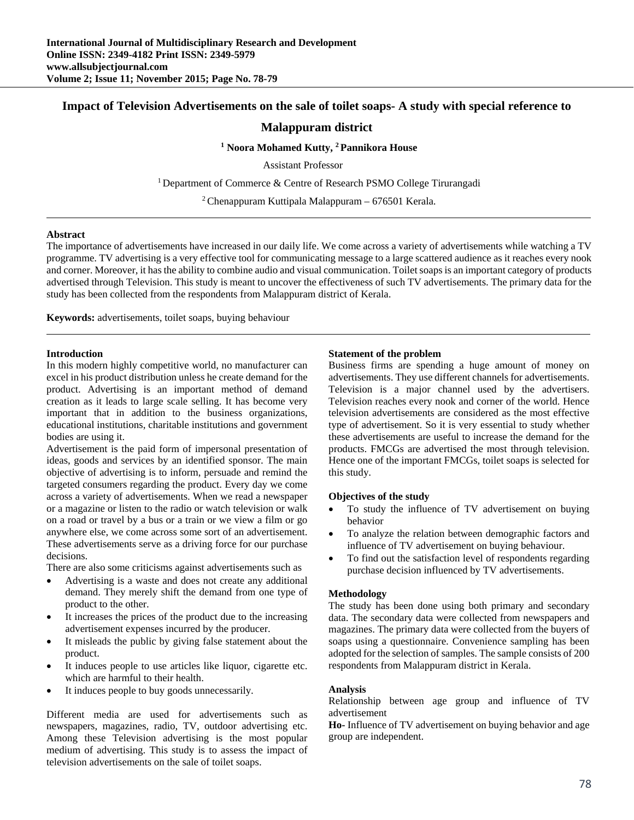# **Impact of Television Advertisements on the sale of toilet soaps- A study with special reference to**

# **Malappuram district**

## **1 Noora Mohamed Kutty, 2 Pannikora House**

Assistant Professor

<sup>1</sup> Department of Commerce  $&$  Centre of Research PSMO College Tirurangadi

 $2$  Chenappuram Kuttipala Malappuram – 676501 Kerala.

#### **Abstract**

The importance of advertisements have increased in our daily life. We come across a variety of advertisements while watching a TV programme. TV advertising is a very effective tool for communicating message to a large scattered audience as it reaches every nook and corner. Moreover, it has the ability to combine audio and visual communication. Toilet soaps is an important category of products advertised through Television. This study is meant to uncover the effectiveness of such TV advertisements. The primary data for the study has been collected from the respondents from Malappuram district of Kerala.

**Keywords:** advertisements, toilet soaps, buying behaviour

## **Introduction**

In this modern highly competitive world, no manufacturer can excel in his product distribution unless he create demand for the product. Advertising is an important method of demand creation as it leads to large scale selling. It has become very important that in addition to the business organizations, educational institutions, charitable institutions and government bodies are using it.

Advertisement is the paid form of impersonal presentation of ideas, goods and services by an identified sponsor. The main objective of advertising is to inform, persuade and remind the targeted consumers regarding the product. Every day we come across a variety of advertisements. When we read a newspaper or a magazine or listen to the radio or watch television or walk on a road or travel by a bus or a train or we view a film or go anywhere else, we come across some sort of an advertisement. These advertisements serve as a driving force for our purchase decisions.

There are also some criticisms against advertisements such as

- Advertising is a waste and does not create any additional demand. They merely shift the demand from one type of product to the other.
- It increases the prices of the product due to the increasing advertisement expenses incurred by the producer.
- It misleads the public by giving false statement about the product.
- It induces people to use articles like liquor, cigarette etc. which are harmful to their health.
- It induces people to buy goods unnecessarily.

Different media are used for advertisements such as newspapers, magazines, radio, TV, outdoor advertising etc. Among these Television advertising is the most popular medium of advertising. This study is to assess the impact of television advertisements on the sale of toilet soaps.

### **Statement of the problem**

Business firms are spending a huge amount of money on advertisements. They use different channels for advertisements. Television is a major channel used by the advertisers. Television reaches every nook and corner of the world. Hence television advertisements are considered as the most effective type of advertisement. So it is very essential to study whether these advertisements are useful to increase the demand for the products. FMCGs are advertised the most through television. Hence one of the important FMCGs, toilet soaps is selected for this study.

#### **Objectives of the study**

- To study the influence of TV advertisement on buying behavior
- To analyze the relation between demographic factors and influence of TV advertisement on buying behaviour.
- To find out the satisfaction level of respondents regarding purchase decision influenced by TV advertisements.

#### **Methodology**

The study has been done using both primary and secondary data. The secondary data were collected from newspapers and magazines. The primary data were collected from the buyers of soaps using a questionnaire. Convenience sampling has been adopted for the selection of samples. The sample consists of 200 respondents from Malappuram district in Kerala.

#### **Analysis**

Relationship between age group and influence of TV advertisement

**Ho-** Influence of TV advertisement on buying behavior and age group are independent.